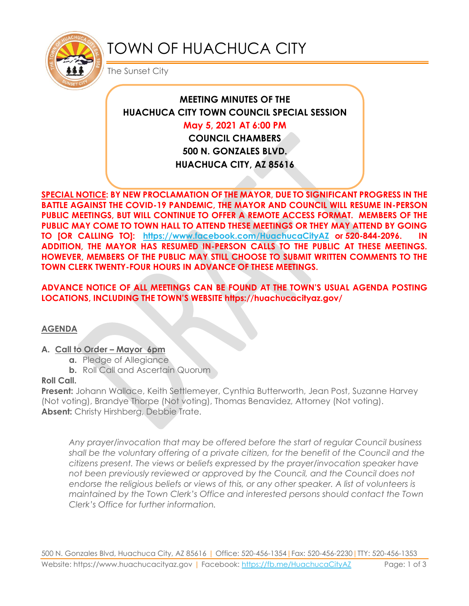

# TOWN OF HUACHUCA CITY

The Sunset City

## **MEETING MINUTES OF THE HUACHUCA CITY TOWN COUNCIL SPECIAL SESSION**

### **May 5, 2021 AT 6:00 PM**

**COUNCIL CHAMBERS 500 N. GONZALES BLVD. HUACHUCA CITY, AZ 85616**

**SPECIAL NOTICE: BY NEW PROCLAMATION OF THE MAYOR, DUE TO SIGNIFICANT PROGRESS IN THE BATTLE AGAINST THE COVID-19 PANDEMIC, THE MAYOR AND COUNCIL WILL RESUME IN-PERSON PUBLIC MEETINGS, BUT WILL CONTINUE TO OFFER A REMOTE ACCESS FORMAT. MEMBERS OF THE PUBLIC MAY COME TO TOWN HALL TO ATTEND THESE MEETINGS OR THEY MAY ATTEND BY GOING TO [OR CALLING TO]: <https://www.facebook.com/HuachucaCityAZ> or 520-844-2096. IN ADDITION, THE MAYOR HAS RESUMED IN-PERSON CALLS TO THE PUBLIC AT THESE MEETINGS. HOWEVER, MEMBERS OF THE PUBLIC MAY STILL CHOOSE TO SUBMIT WRITTEN COMMENTS TO THE TOWN CLERK TWENTY-FOUR HOURS IN ADVANCE OF THESE MEETINGS.** 

**ADVANCE NOTICE OF ALL MEETINGS CAN BE FOUND AT THE TOWN'S USUAL AGENDA POSTING LOCATIONS, INCLUDING THE TOWN'S WEBSITE https://huachucacityaz.gov/**

#### **AGENDA**

#### **A. Call to Order – Mayor 6pm**

- **a.** Pledge of Allegiance
- **b.** Roll Call and Ascertain Quorum

#### **Roll Call.**

**Present:** Johann Wallace, Keith Settlemeyer, Cynthia Butterworth, Jean Post, Suzanne Harvey (Not voting), Brandye Thorpe (Not voting), Thomas Benavidez, Attorney (Not voting). **Absent:** Christy Hirshberg, Debbie Trate.

*Any prayer/invocation that may be offered before the start of regular Council business shall be the voluntary offering of a private citizen, for the benefit of the Council and the citizens present. The views or beliefs expressed by the prayer/invocation speaker have not been previously reviewed or approved by the Council, and the Council does not endorse the religious beliefs or views of this, or any other speaker. A list of volunteers is maintained by the Town Clerk's Office and interested persons should contact the Town Clerk's Office for further information.*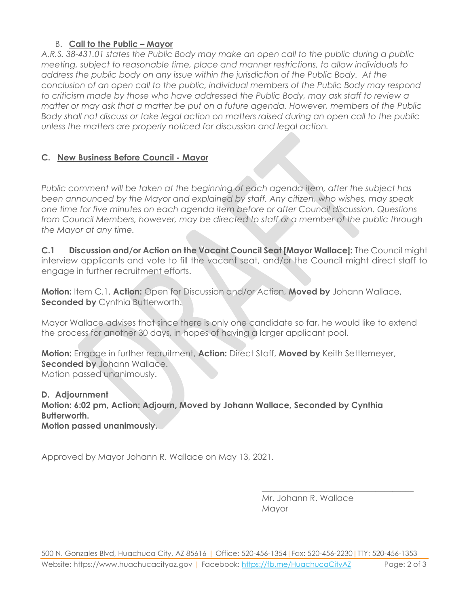#### B. **Call to the Public – Mayor**

*A.R.S. 38-431.01 states the Public Body may make an open call to the public during a public meeting, subject to reasonable time, place and manner restrictions, to allow individuals to address the public body on any issue within the jurisdiction of the Public Body. At the conclusion of an open call to the public, individual members of the Public Body may respond to criticism made by those who have addressed the Public Body, may ask staff to review a matter or may ask that a matter be put on a future agenda. However, members of the Public Body shall not discuss or take legal action on matters raised during an open call to the public unless the matters are properly noticed for discussion and legal action.*

#### **C. New Business Before Council - Mayor**

*Public comment will be taken at the beginning of each agenda item, after the subject has been announced by the Mayor and explained by staff. Any citizen, who wishes, may speak one time for five minutes on each agenda item before or after Council discussion. Questions from Council Members, however, may be directed to staff or a member of the public through the Mayor at any time.* 

**C.1 Discussion and/or Action on the Vacant Council Seat [Mayor Wallace]:** The Council might interview applicants and vote to fill the vacant seat, and/or the Council might direct staff to engage in further recruitment efforts.

**Motion:** Item C.1, **Action:** Open for Discussion and/or Action, **Moved by** Johann Wallace, **Seconded by** Cynthia Butterworth.

Mayor Wallace advises that since there is only one candidate so far, he would like to extend the process for another 30 days, in hopes of having a larger applicant pool.

**Motion:** Engage in further recruitment, **Action:** Direct Staff, **Moved by** Keith Settlemeyer, **Seconded by** Johann Wallace. Motion passed unanimously.

**D. Adjournment Motion: 6:02 pm, Action: Adjourn, Moved by Johann Wallace, Seconded by Cynthia Butterworth. Motion passed unanimously.**

Approved by Mayor Johann R. Wallace on May 13, 2021.

Mr. Johann R. Wallace Mayor

\_\_\_\_\_\_\_\_\_\_\_\_\_\_\_\_\_\_\_\_\_\_\_\_\_\_\_\_\_\_\_\_\_\_\_\_